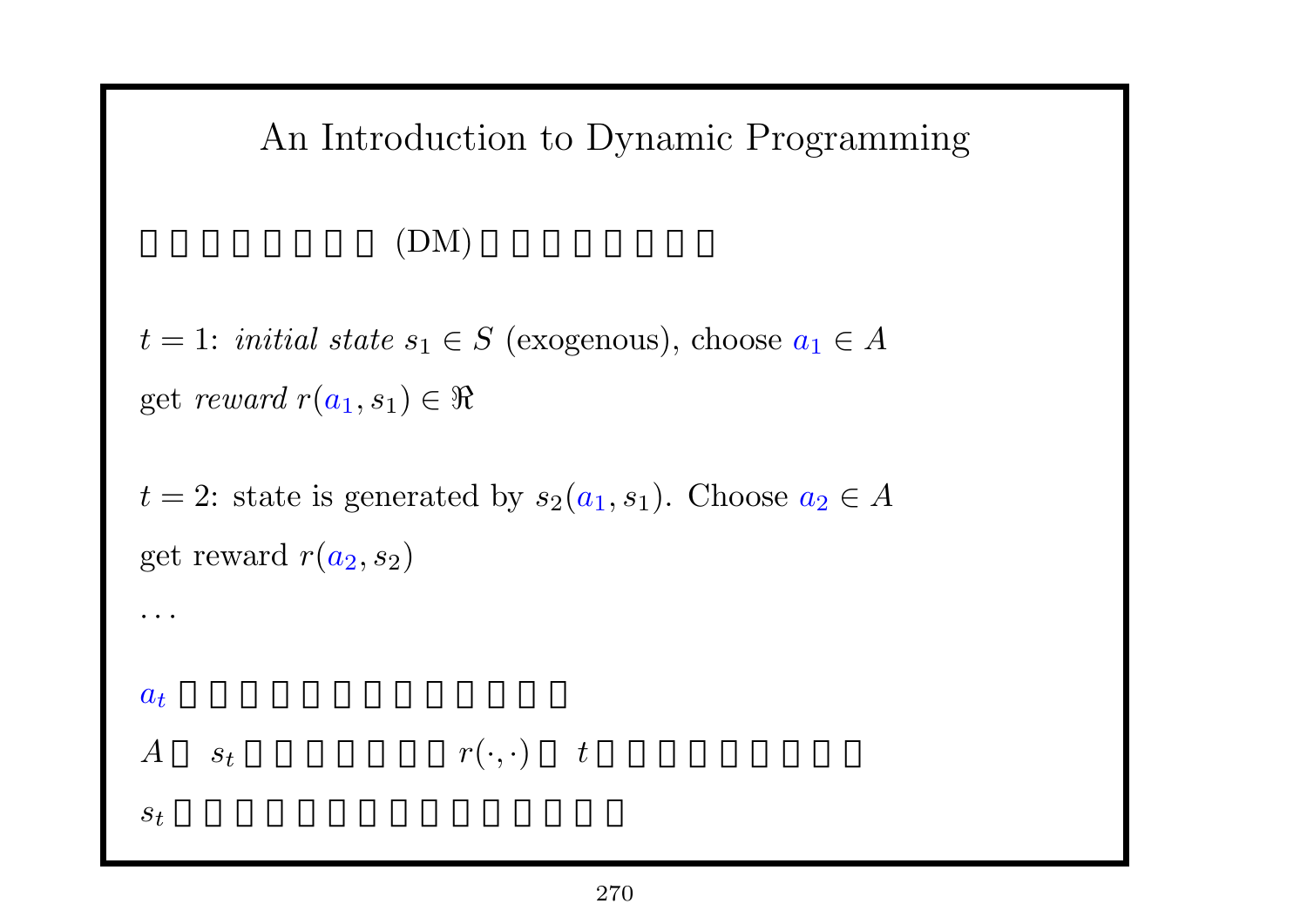### An Introduction to Dynamic Programming

### $(DM)$

 $t = 1$ : *initial state*  $s_1 \in S$  (exogenous), choose  $a_1 \in A$ get *reward*  $r(a_1, s_1) \in \Re$ 

*t* = 2: state is generated by  $s_2(a_1, s_1)$ . Choose  $a_2 \in A$ get reward  $r(a_2, s_2)$ 

*· · ·*

 $a_t$ 

$$
A \qquad s_t \qquad \qquad r(\cdot, \cdot) \qquad t
$$

 $s_t$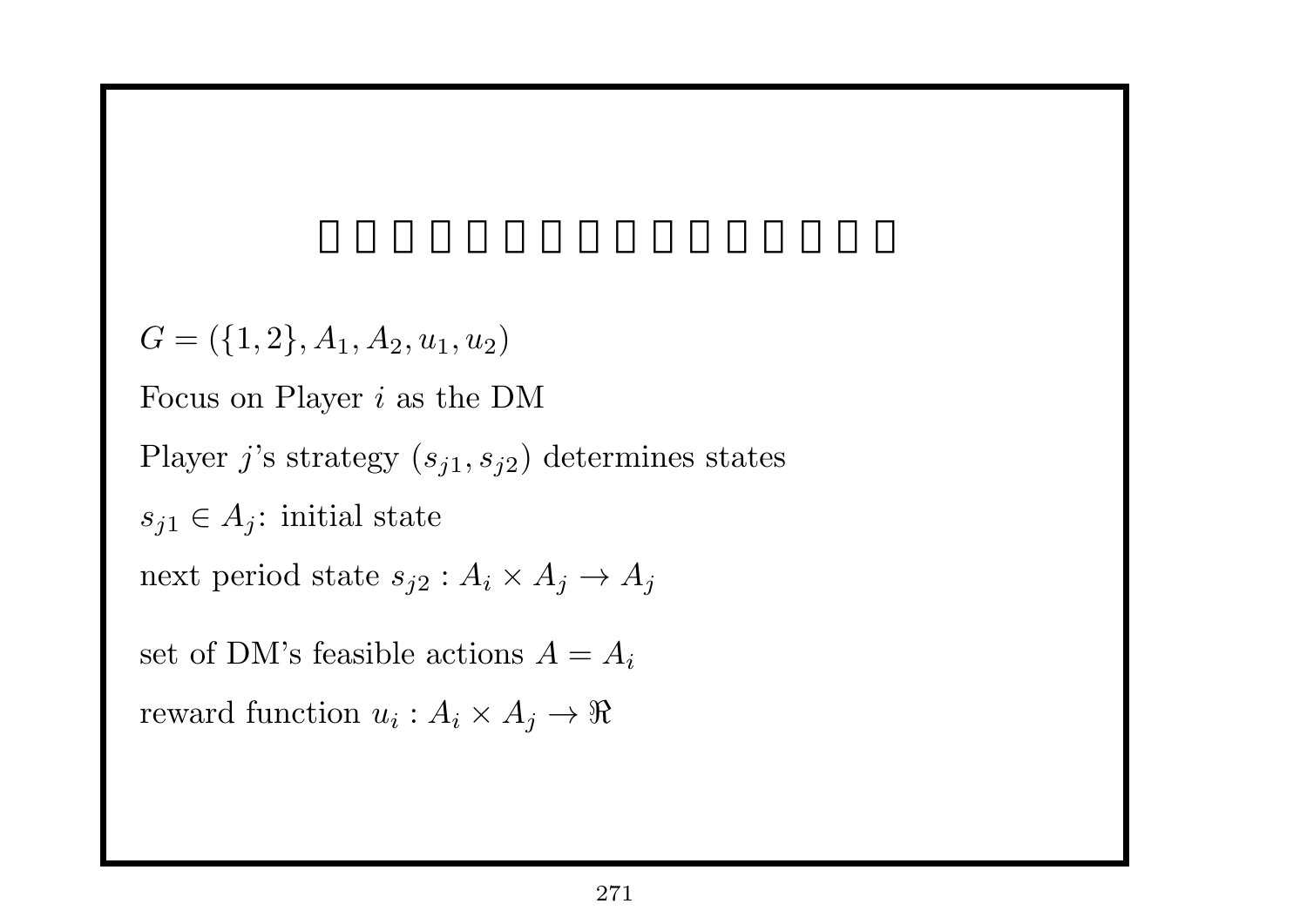$G = (\{1, 2\}, A_1, A_2, u_1, u_2)$ Focus on Player *i* as the DM Player *j*'s strategy  $(s_{j1}, s_{j2})$  determines states  $s_{j1} \in A_j$ : initial state next period state  $s_{j2}: A_i \times A_j \rightarrow A_j$ set of DM's feasible actions  $A = A_i$  $\text{reward function } u_i: A_i \times A_j \to \Re$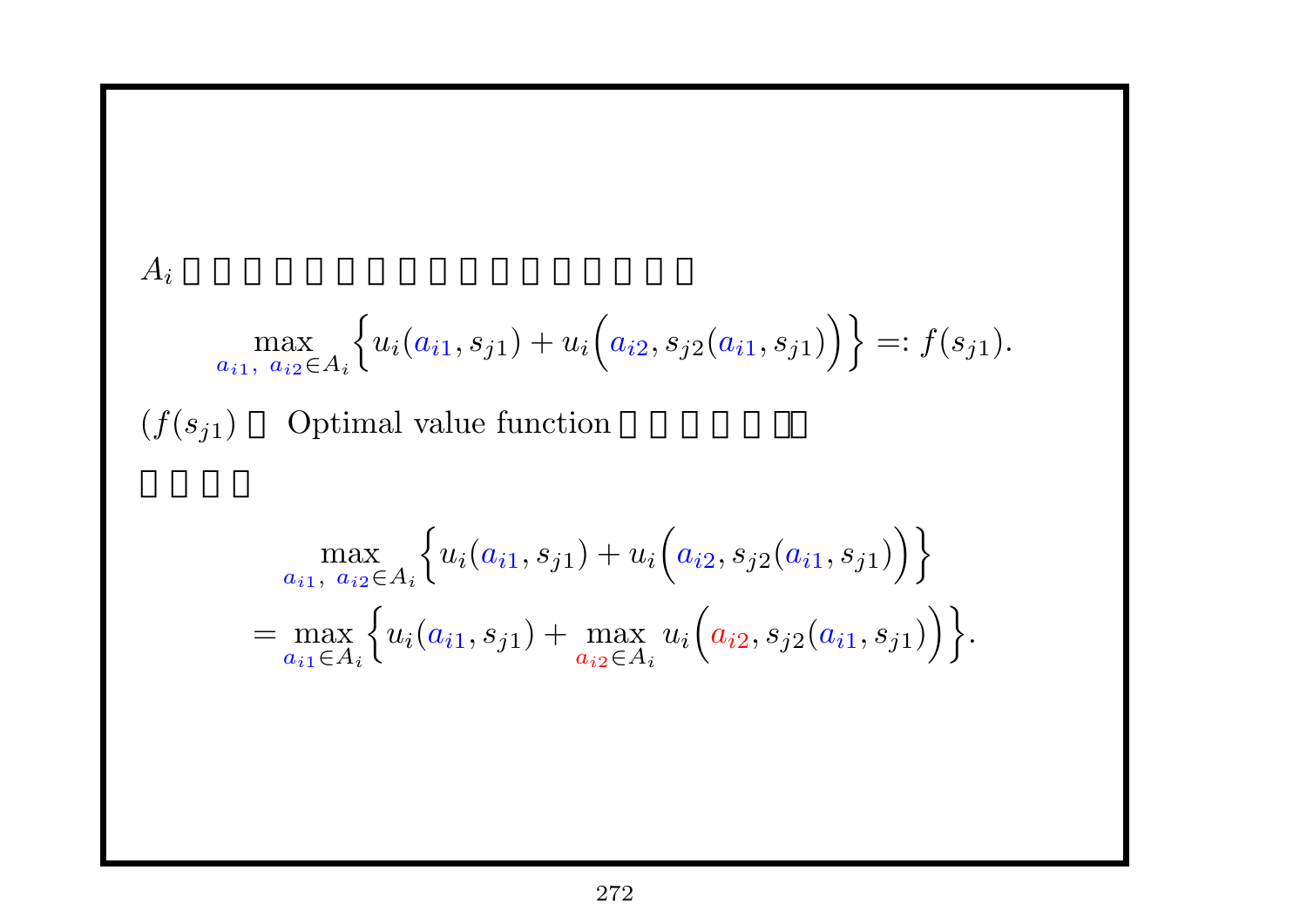$$
A_{i}
$$
\n
$$
\max_{a_{i1}, a_{i2} \in A_{i}} \left\{ u_{i}(a_{i1}, s_{j1}) + u_{i}(a_{i2}, s_{j2}(a_{i1}, s_{j1})) \right\} =: f(s_{j1}).
$$
\n
$$
(f(s_{j1}) \quad \text{Optimal value function}
$$
\n
$$
\max_{a_{i1}, a_{i2} \in A_{i}} \left\{ u_{i}(a_{i1}, s_{j1}) + u_{i}(a_{i2}, s_{j2}(a_{i1}, s_{j1})) \right\}
$$
\n
$$
= \max_{a_{i1} \in A_{i}} \left\{ u_{i}(a_{i1}, s_{j1}) + \max_{a_{i2} \in A_{i}} u_{i}(a_{i2}, s_{j2}(a_{i1}, s_{j1})) \right\}.
$$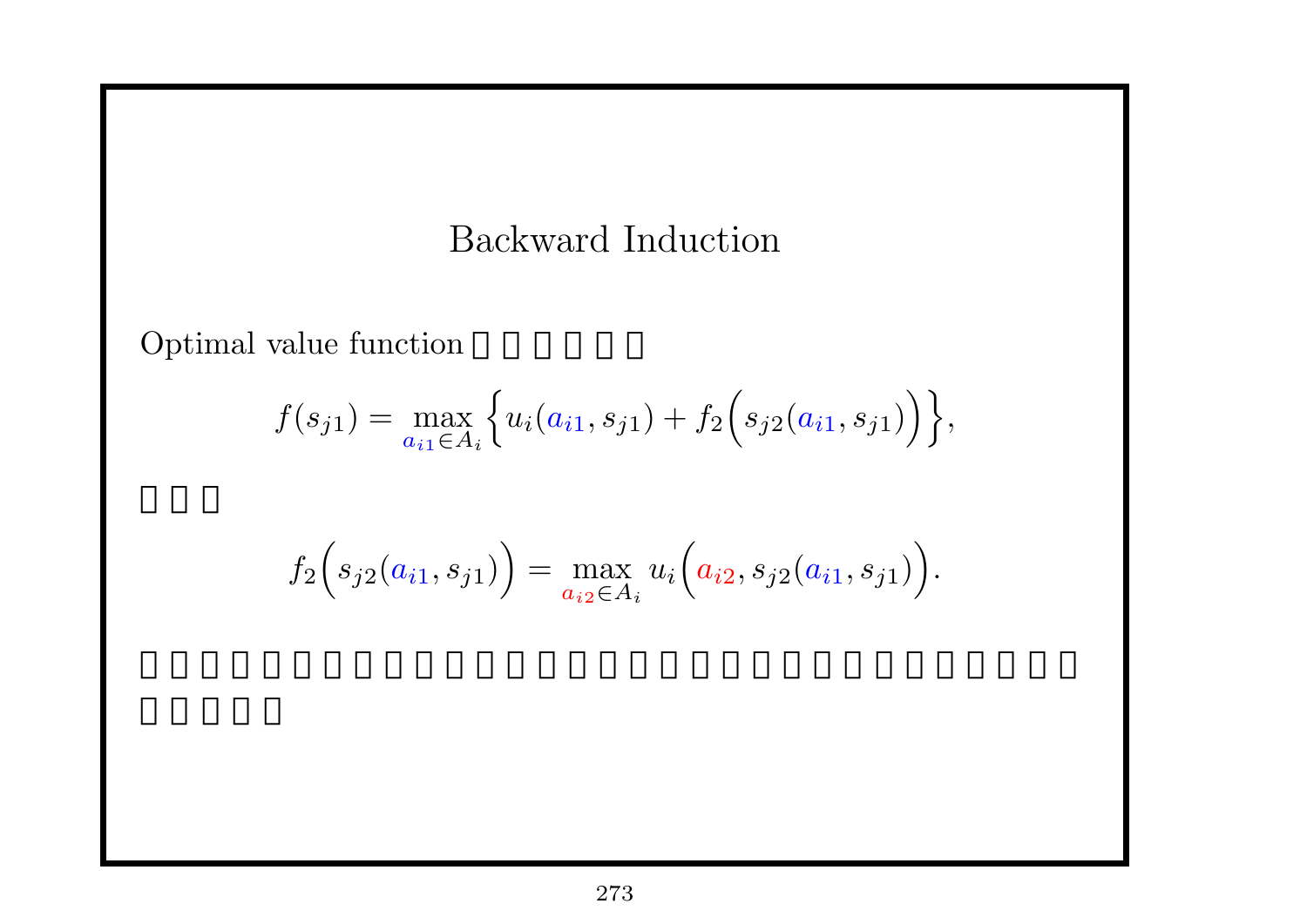# Backward Induction

Optimal value function

$$
f(s_{j1}) = \max_{a_{i1} \in A_i} \left\{ u_i(a_{i1}, s_{j1}) + f_2\Big(s_{j2}(a_{i1}, s_{j1})\Big) \right\},\,
$$

$$
f_2(s_{j2}(a_{i1}, s_{j1})) = \max_{a_{i2} \in A_i} u_i(a_{i2}, s_{j2}(a_{i1}, s_{j1})).
$$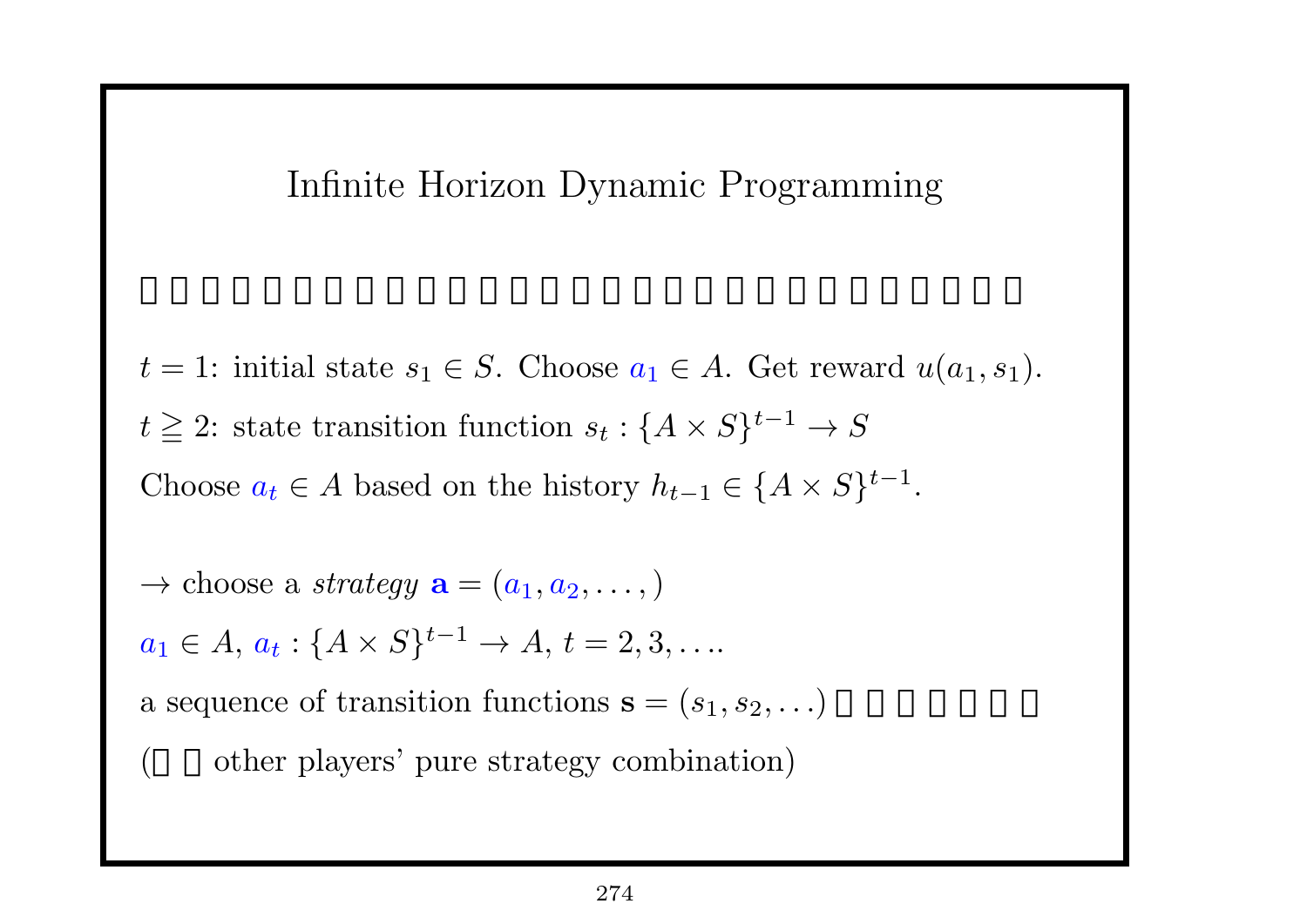### Infinite Horizon Dynamic Programming

- $t = 1$ : initial state  $s_1 \in S$ . Choose  $a_1 \in A$ . Get reward  $u(a_1, s_1)$ .  $t \geq 2$ : state transition function  $s_t : \{A \times S\}^{t-1} \to S$ Choose  $a_t \in A$  based on the history  $h_{t-1} \in \{A \times S\}^{t-1}$ .
- $\rightarrow$  choose a *strategy*  $\mathbf{a} = (a_1, a_2, \dots)$
- $a_1 \in A, a_t: \{A \times S\}^{t-1} \to A, t = 2, 3, \ldots$
- a sequence of transition functions  $\mathbf{s} = (s_1, s_2, \ldots)$ 
	- other players' pure strategy combination)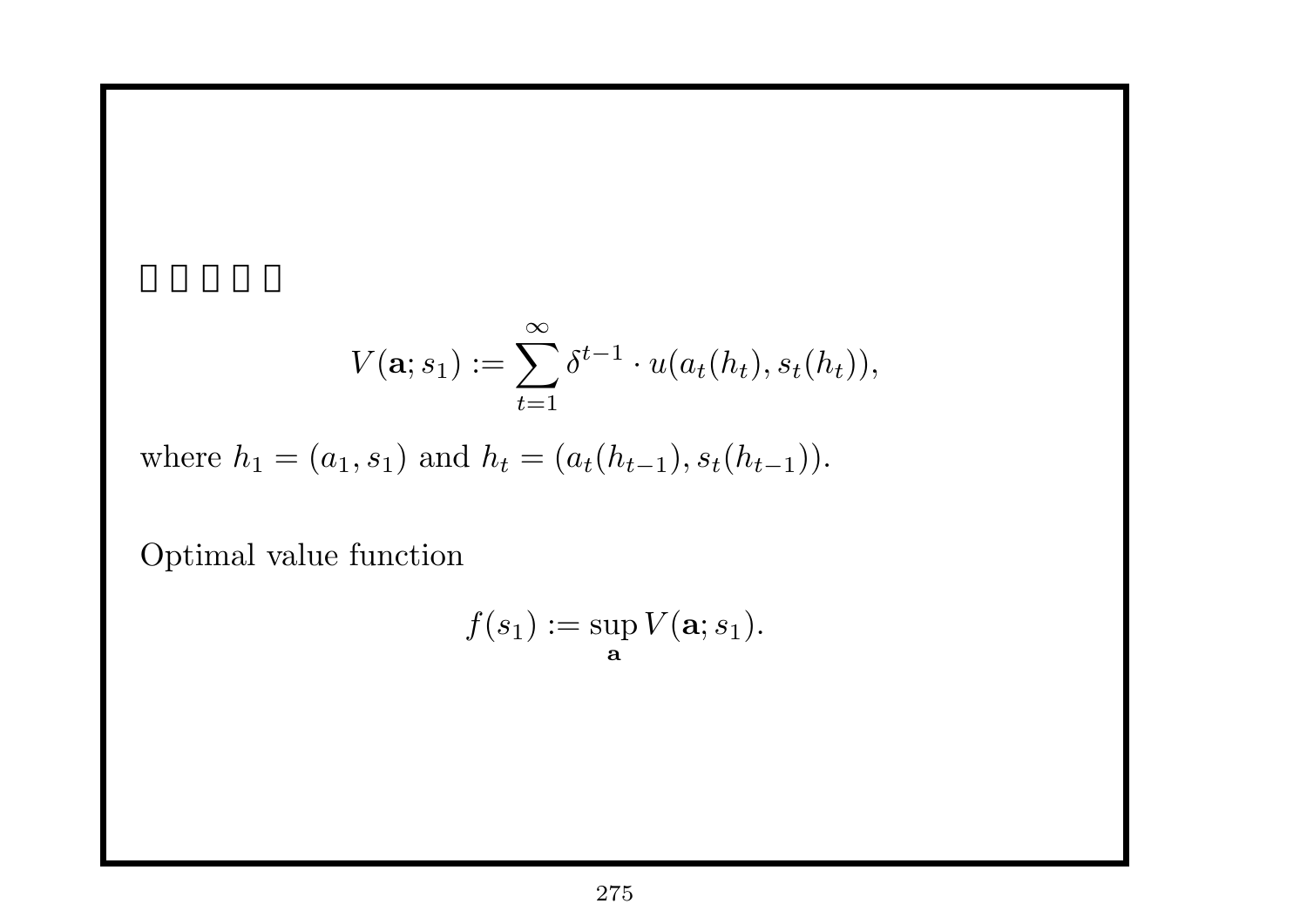$$
V(\mathbf{a};s_1) := \sum_{t=1}^{\infty} \delta^{t-1} \cdot u(a_t(h_t), s_t(h_t)),
$$

where  $h_1 = (a_1, s_1)$  and  $h_t = (a_t(h_{t-1}), s_t(h_{t-1}))$ .

Optimal value function

$$
f(s_1) := \sup_{\mathbf{a}} V(\mathbf{a}; s_1).
$$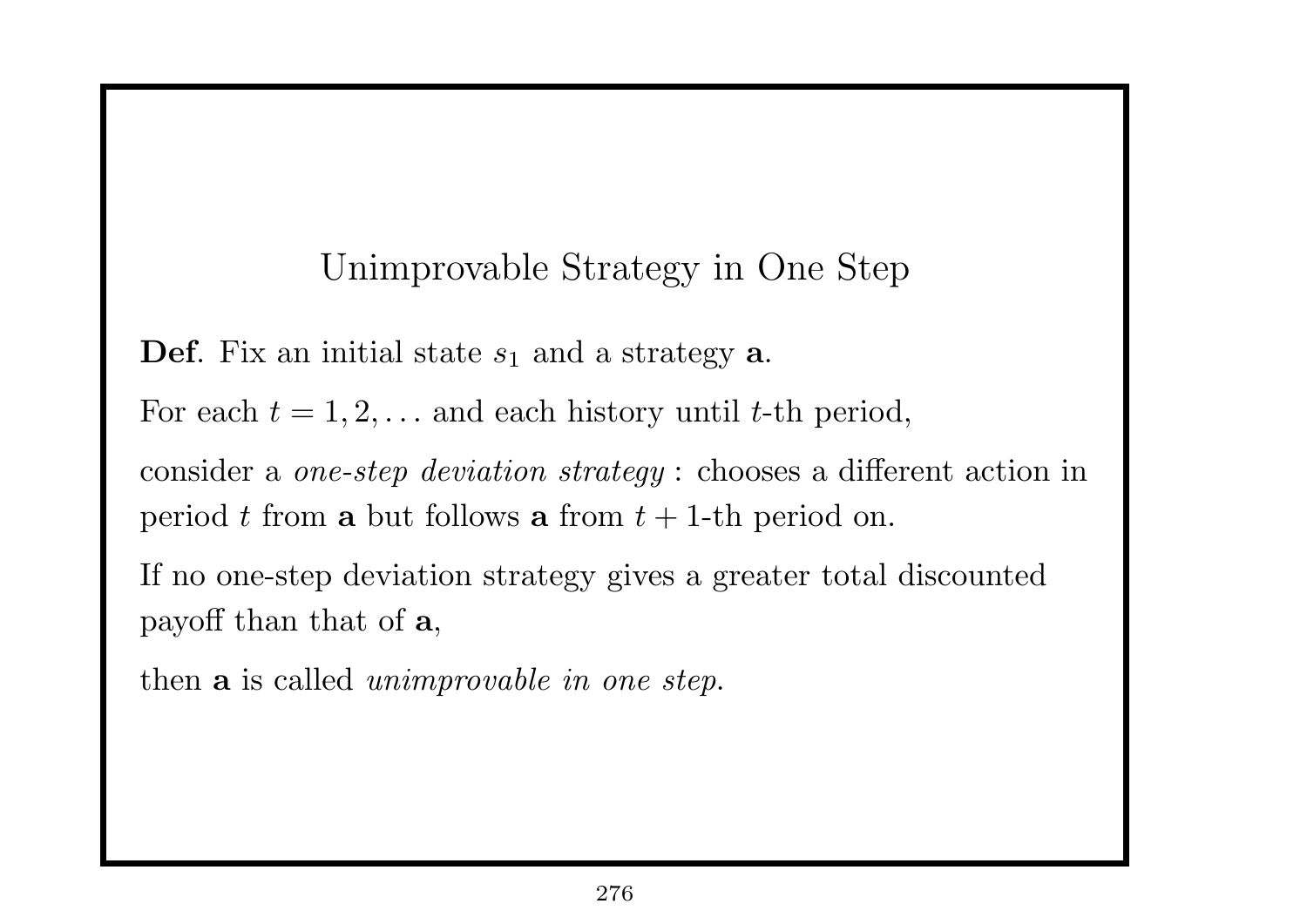## Unimprovable Strategy in One Step

**Def**. Fix an initial state *s*<sup>1</sup> and a strategy **a**.

For each  $t = 1, 2, \ldots$  and each history until  $t$ -th period,

consider a *one-step deviation strategy* : chooses a different action in period *t* from **a** but follows **a** from  $t + 1$ -th period on.

If no one-step deviation strategy gives a greater total discounted payoff than that of **a**,

then **a** is called *unimprovable in one step*.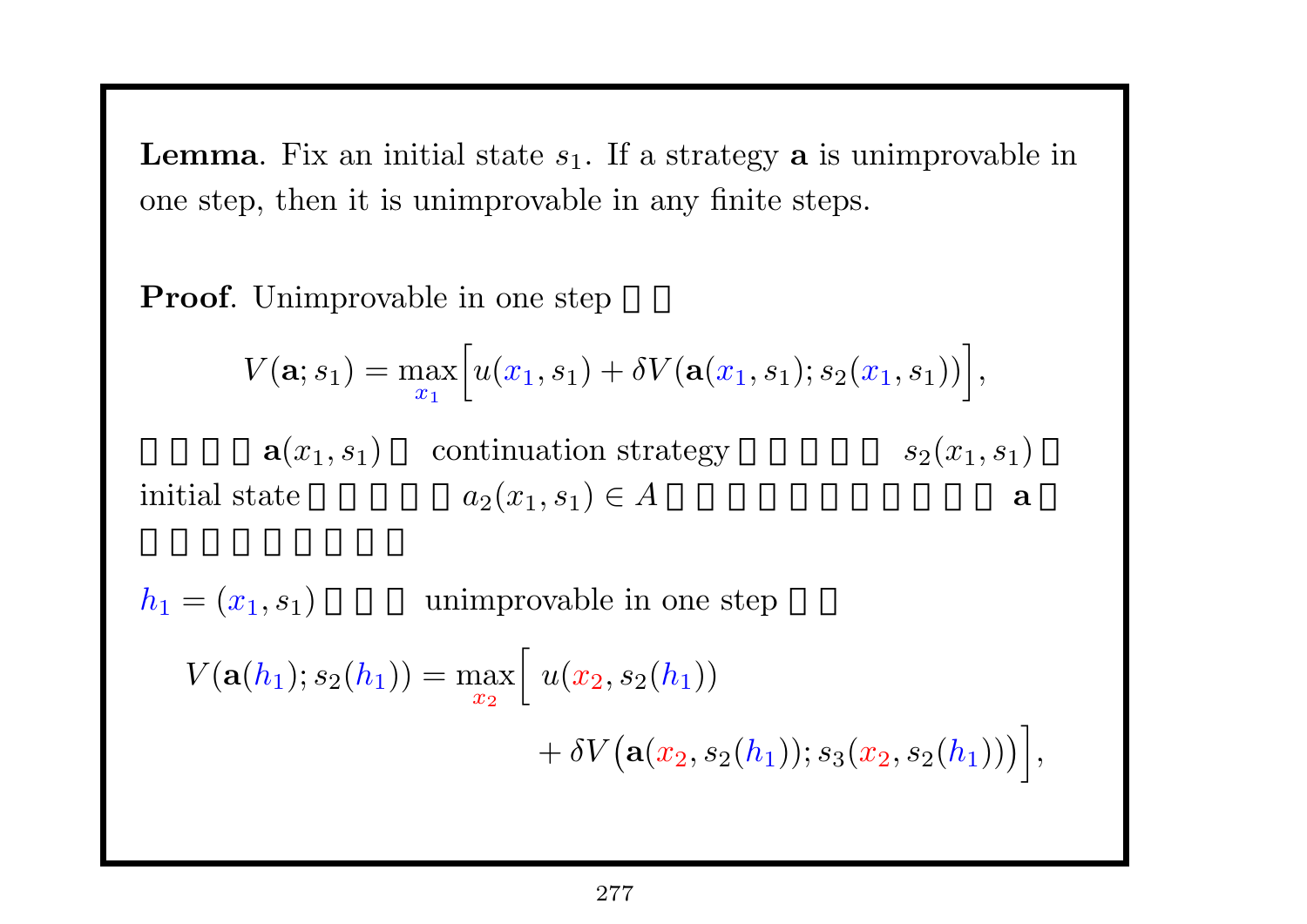**Lemma**. Fix an initial state  $s_1$ . If a strategy **a** is unimprovable in one step, then it is unimprovable in any finite steps.

**Proof.** Unimprovable in one step

$$
V(\mathbf{a}; s_1) = \max_{x_1} \Big[ u(x_1, s_1) + \delta V(\mathbf{a}(x_1, s_1); s_2(x_1, s_1)) \Big],
$$

 $a(x_1, s_1)$  continuation strategy  $s_2(x_1, s_1)$ initial state  $a_2(x_1, s_1) \in A$  **a** 

 $h_1 = (x_1, s_1)$  unimprovable in one step  $V({\bf a}(h_1); s_2(h_1)) = \max$ *x*<sup>2</sup>  $\sqrt{2}$  $u(x_2,s_2(h_1))$  $+ \delta V (a(x_2, s_2(h_1)); s_3(x_2, s_2(h_1)))$ *,*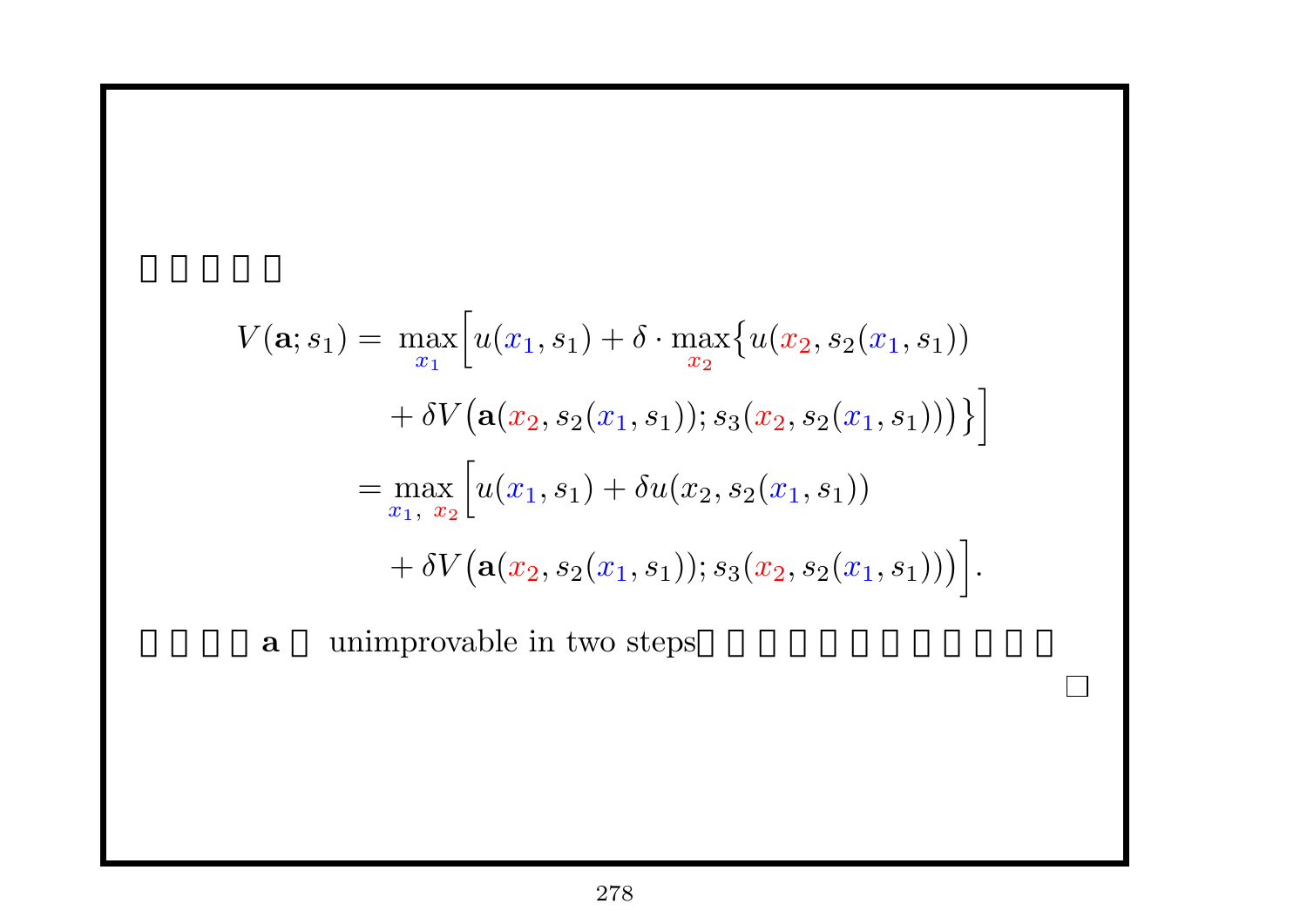$$
V(\mathbf{a}; s_1) = \max_{x_1} \Big[ u(x_1, s_1) + \delta \cdot \max_{x_2} \{ u(x_2, s_2(x_1, s_1)) + \delta V(\mathbf{a}(x_2, s_2(x_1, s_1)); s_3(x_2, s_2(x_1, s_1))) \} \Big]
$$
  
= 
$$
\max_{x_1, x_2} \Big[ u(x_1, s_1) + \delta u(x_2, s_2(x_1, s_1)) + \delta V(\mathbf{a}(x_2, s_2(x_1, s_1)); s_3(x_2, s_2(x_1, s_1))) \Big].
$$

つまり、**a** unimprovable in two steps。これを繰り返せばよい。

 $\Box$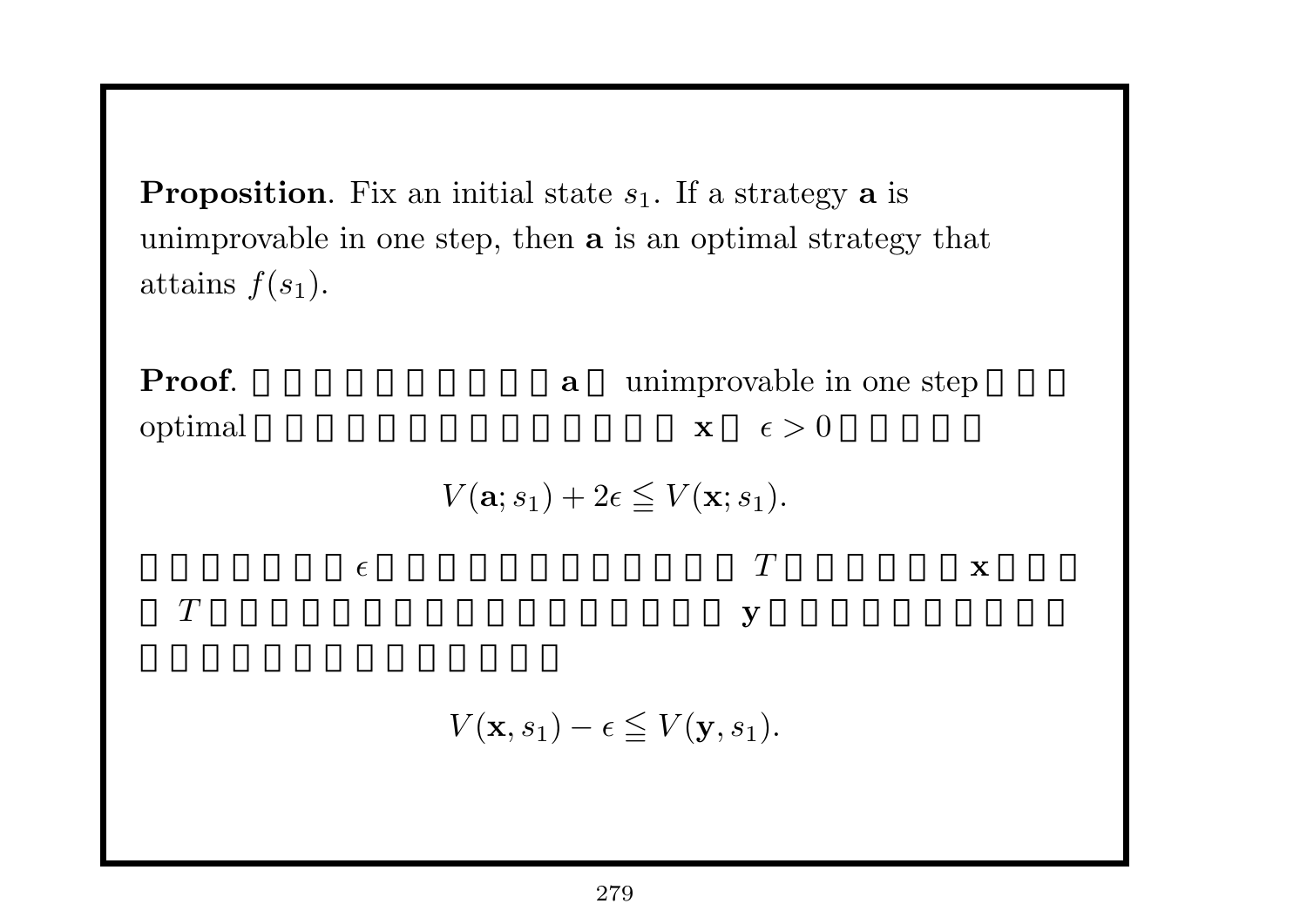**Proposition**. Fix an initial state  $s_1$ . If a strategy **a** is unimprovable in one step, then **a** is an optimal strategy that attains  $f(s_1)$ .